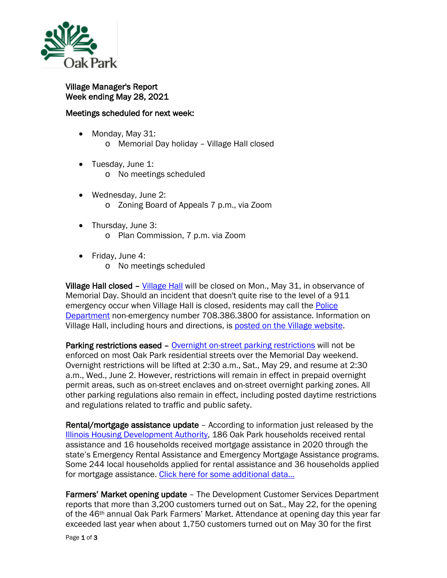

Village Manager's Report Week ending May 28, 2021

## Meetings scheduled for next week:

- Monday, May 31: o Memorial Day holiday – Village Hall closed
- Tuesday, June 1:
	- o No meetings scheduled
- Wednesday, June 2: o Zoning Board of Appeals 7 p.m., via Zoom
- Thursday, June 3: o Plan Commission, 7 p.m. via Zoom
- Friday, June 4:
	- o No meetings scheduled

Village Hall closed – [Village Hall](http://www.oak-park.us/your-government/village-manager/village-hall) will be closed on Mon., May 31, in observance of Memorial Day. Should an incident that doesn't quite rise to the level of a 911 emergency occur when Village Hall is closed, residents may call the Police [Department](http://www.oak-park.us/village-services/police-department) non-emergency number 708.386.3800 for assistance. Information on Village Hall, including hours and directions, is [posted on the Village website.](http://www.oak-park.us/your-government/village-manager/village-hall)

Parking restrictions eased – [Overnight on-street parking restrictions](http://www.oak-park.us/village-services/parking/parking-guidelines-restrictions) will not be enforced on most Oak Park residential streets over the Memorial Day weekend. Overnight restrictions will be lifted at 2:30 a.m., Sat., May 29, and resume at 2:30 a.m., Wed., June 2. However, restrictions will remain in effect in prepaid overnight permit areas, such as on-street enclaves and on-street overnight parking zones. All other parking regulations also remain in effect, including posted daytime restrictions and regulations related to traffic and public safety.

Rental/mortgage assistance update – According to information just released by the [Illinois Housing Development Authority,](http://www.ihda.org/) 186 Oak Park households received rental assistance and 16 households received mortgage assistance in 2020 through the state's Emergency Rental Assistance and Emergency Mortgage Assistance programs. Some 244 local households applied for rental assistance and 36 households applied for mortgage assistance. Click here for some additional data...

Farmers' Market opening update – The Development Customer Services Department reports that more than 3,200 customers turned out on Sat., May 22, for the opening of the 46<sup>th</sup> annual Oak Park Farmers' Market. Attendance at opening day this year far exceeded last year when about 1,750 customers turned out on May 30 for the first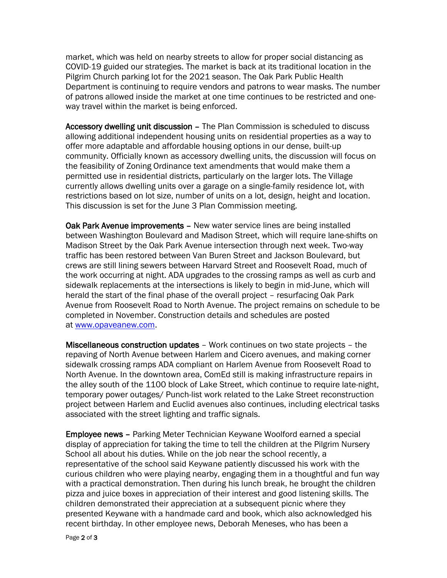market, which was held on nearby streets to allow for proper social distancing as COVID-19 guided our strategies. The market is back at its traditional location in the Pilgrim Church parking lot for the 2021 season. The Oak Park Public Health Department is continuing to require vendors and patrons to wear masks. The number of patrons allowed inside the market at one time continues to be restricted and oneway travel within the market is being enforced.

Accessory dwelling unit discussion - The Plan Commission is scheduled to discuss allowing additional independent housing units on residential properties as a way to offer more adaptable and affordable housing options in our dense, built-up community. Officially known as accessory dwelling units, the discussion will focus on the feasibility of Zoning Ordinance text amendments that would make them a permitted use in residential districts, particularly on the larger lots. The Village currently allows dwelling units over a garage on a single-family residence lot, with restrictions based on lot size, number of units on a lot, design, height and location. This discussion is set for the June 3 Plan Commission meeting.

Oak Park Avenue improvements – New water service lines are being installed between Washington Boulevard and Madison Street, which will require lane-shifts on Madison Street by the Oak Park Avenue intersection through next week. Two-way traffic has been restored between Van Buren Street and Jackson Boulevard, but crews are still lining sewers between Harvard Street and Roosevelt Road, much of the work occurring at night. ADA upgrades to the crossing ramps as well as curb and sidewalk replacements at the intersections is likely to begin in mid-June, which will herald the start of the final phase of the overall project – resurfacing Oak Park Avenue from Roosevelt Road to North Avenue. The project remains on schedule to be completed in November. Construction details and schedules are posted at [www.opaveanew.com.](http://www.opaveanew.com/)

Miscellaneous construction updates – Work continues on two state projects – the repaving of North Avenue between Harlem and Cicero avenues, and making corner sidewalk crossing ramps ADA compliant on Harlem Avenue from Roosevelt Road to North Avenue. In the downtown area, ComEd still is making infrastructure repairs in the alley south of the 1100 block of Lake Street, which continue to require late-night, temporary power outages/ Punch-list work related to the Lake Street reconstruction project between Harlem and Euclid avenues also continues, including electrical tasks associated with the street lighting and traffic signals.

Employee news – Parking Meter Technician Keywane Woolford earned a special display of appreciation for taking the time to tell the children at the Pilgrim Nursery School all about his duties. While on the job near the school recently, a representative of the school said Keywane patiently discussed his work with the curious children who were playing nearby, engaging them in a thoughtful and fun way with a practical demonstration. Then during his lunch break, he brought the children pizza and juice boxes in appreciation of their interest and good listening skills. The children demonstrated their appreciation at a subsequent picnic where they presented Keywane with a handmade card and book, which also acknowledged his recent birthday. In other employee news, Deborah Meneses, who has been a